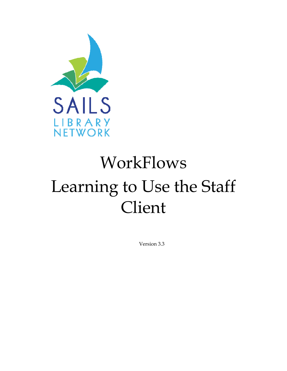

# WorkFlows Learning to Use the Staff Client

Version 3.3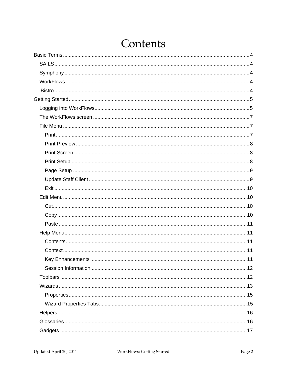# Contents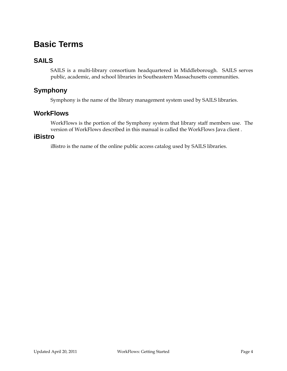# <span id="page-3-0"></span>**Basic Terms**

# **SAILS**

SAILS is a multi-library consortium headquartered in Middleborough. SAILS serves public, academic, and school libraries in Southeastern Massachusetts communities.

# **Symphony**

Symphony is the name of the library management system used by SAILS libraries.

## **WorkFlows**

WorkFlows is the portion of the Symphony system that library staff members use. The version of WorkFlows described in this manual is called the WorkFlows Java client .

#### **iBistro**

iBistro is the name of the online public access catalog used by SAILS libraries.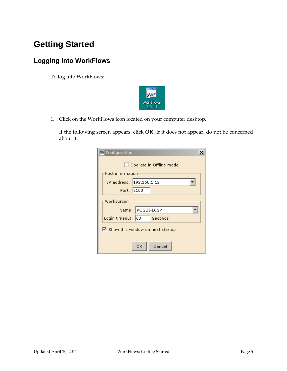# <span id="page-4-0"></span>**Getting Started**

# **Logging into WorkFlows**

To log into WorkFlows:



1. Click on the WorkFlows icon located on your computer desktop.

If the following screen appears, click **OK.** If it does not appear, do not be concerned about it.

| <b>WE</b> Configuration                                     |
|-------------------------------------------------------------|
| Operate in Offline mode                                     |
| Host information                                            |
| IP address: 192.168.1.12                                    |
| Port: 5100                                                  |
| Workstation                                                 |
| Name: PCGUI-DISP                                            |
| Login timeout: 60<br>Seconds                                |
| $\overline{\triangledown}$ Show this window on next startup |
|                                                             |
| Cancel<br>ОK                                                |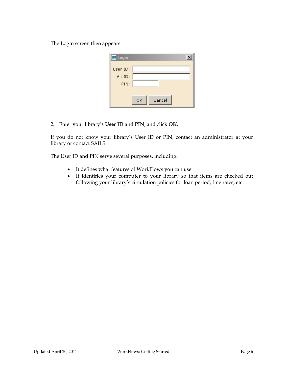The Login screen then appears.

| <b>W</b> Login |              |
|----------------|--------------|
| User ID:       |              |
| Alt ID:        |              |
| PIN:           |              |
|                |              |
|                | Cancel<br>ОK |

2. Enter your library's **User ID** and **PIN**, and click **OK**.

If you do not know your library's User ID or PIN, contact an administrator at your library or contact SAILS.

The User ID and PIN serve several purposes, including:

- It defines what features of WorkFlows you can use.
- It identifies your computer to your library so that items are checked out following your library's circulation policies for loan period, fine rates, etc.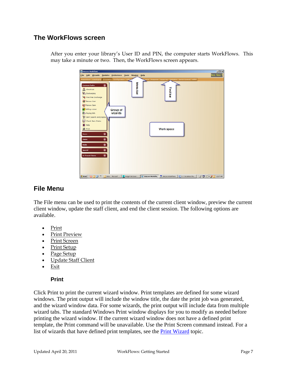# <span id="page-6-0"></span>**The WorkFlows screen**

| Test Test<br>Eile Edit Wizards Modules Preference Tools Window<br>Help<br>Acquisitions Cataloging Circulation Configuration Offli<br>ports Requests Reserves Selection Serial Control Utility<br>Menu bar<br>$\circ$<br><b>Common Tasks</b><br><b>Tool</b> bar<br>& CheckOut<br>Discharging<br><b>Ug</b> Fine Free Discharge<br>Renew User<br><b>AD</b> Renew Item<br><b>Billing a User</b><br>Group of<br>Paying Bills<br>wizards<br>Item Search and Display<br>Check Item Status<br><b>R</b> Help<br><b>Work space</b><br><b>B</b> Print<br>0<br><b>Users</b><br>$\bullet$<br><b>Items</b><br>$\overline{\bullet}$<br><b>Holds</b><br>$\overline{\bullet}$<br><b>Special</b><br>$\bullet$<br><b>In-Transit Items</b> |  | <b>Unicorn WorkFlows</b> |  |  |  |  |  | $\underline{\mathsf{L}}$ |
|------------------------------------------------------------------------------------------------------------------------------------------------------------------------------------------------------------------------------------------------------------------------------------------------------------------------------------------------------------------------------------------------------------------------------------------------------------------------------------------------------------------------------------------------------------------------------------------------------------------------------------------------------------------------------------------------------------------------|--|--------------------------|--|--|--|--|--|--------------------------|
|                                                                                                                                                                                                                                                                                                                                                                                                                                                                                                                                                                                                                                                                                                                        |  |                          |  |  |  |  |  |                          |
|                                                                                                                                                                                                                                                                                                                                                                                                                                                                                                                                                                                                                                                                                                                        |  |                          |  |  |  |  |  |                          |
| 한 Start   ① ③ ④ <sup>&gt;&gt;</sup>   ⊙ Inbox - Microsoft    bidgeTrak Issue      iii) Unicorn WorkFlow   한 Unicorn WorkFlows   한 3.1 Groudstion Ma     ♪ 【2】 [ < <i>(2</i> ⊙ 10:07 AM                                                                                                                                                                                                                                                                                                                                                                                                                                                                                                                                 |  |                          |  |  |  |  |  |                          |

After you enter your library's User ID and PIN, the computer starts WorkFlows. This may take a minute or two. Then, the WorkFlows screen appears.

# **File Menu**

The File menu can be used to print the contents of the current client window, preview the current client window, update the staff client, and end the client session. The following options are available.

- Print
- Print Preview
- Print Screen
- Print Setup
- Page Setup
- Update Staff Client
- Exit

#### **Print**

Click Print to print the current wizard window. Print templates are defined for some wizard windows. The print output will include the window title, the date the print job was generated, and the wizard window data. For some wizards, the print output will include data from multiple wizard tabs. The standard Windows Print window displays for you to modify as needed before printing the wizard window. If the current wizard window does not have a defined print template, the Print command will be unavailable. Use the Print Screen command instead. For a list of wizards that have defined print templates, see the Print Wizard topic.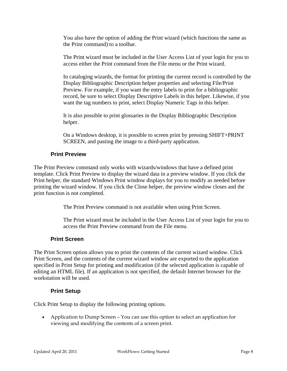<span id="page-7-0"></span>You also have the option of adding the Print wizard (which functions the same as the Print command) to a toolbar.

The Print wizard must be included in the User Access List of your login for you to access either the Print command from the File menu or the Print wizard.

In cataloging wizards, the format for printing the current record is controlled by the Display Bibliographic Description helper properties and selecting File/Print Preview. For example, if you want the entry labels to print for a bibliographic record, be sure to select Display Descriptive Labels in this helper. Likewise, if you want the tag numbers to print, select Display Numeric Tags in this helper.

It is also possible to print glossaries in the Display Bibliographic Description helper.

On a Windows desktop, it is possible to screen print by pressing SHIFT+PRINT SCREEN, and pasting the image to a third-party application.

#### **Print Preview**

The Print Preview command only works with wizards/windows that have a defined print template. Click Print Preview to display the wizard data in a preview window. If you click the Print helper, the standard Windows Print window displays for you to modify as needed before printing the wizard window. If you click the Close helper, the preview window closes and the print function is not completed.

The Print Preview command is not available when using Print Screen.

The Print wizard must be included in the User Access List of your login for you to access the Print Preview command from the File menu.

#### **Print Screen**

The Print Screen option allows you to print the contents of the current wizard window. Click Print Screen, and the contents of the current wizard window are exported to the application specified in Print Setup for printing and modification (if the selected application is capable of editing an HTML file). If an application is not specified, the default Internet browser for the workstation will be used.

#### **Print Setup**

Click Print Setup to display the following printing options.

• Application to Dump Screen – You can use this option to select an application for viewing and modifying the contents of a screen print.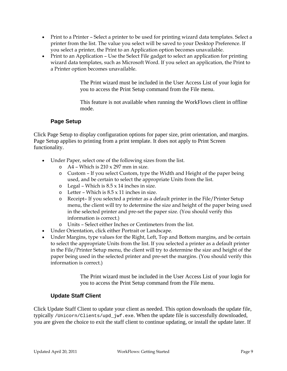- <span id="page-8-0"></span>• Print to a Printer – Select a printer to be used for printing wizard data templates. Select a printer from the list. The value you select will be saved to your Desktop Preference. If you select a printer, the Print to an Application option becomes unavailable.
- Print to an Application Use the Select File gadget to select an application for printing wizard data templates, such as Microsoft Word. If you select an application, the Print to a Printer option becomes unavailable.

The Print wizard must be included in the User Access List of your login for you to access the Print Setup command from the File menu.

This feature is not available when running the WorkFlows client in offline mode.

#### **Page Setup**

Click Page Setup to display configuration options for paper size, print orientation, and margins. Page Setup applies to printing from a print template. It does not apply to Print Screen functionality.

- Under Paper, select one of the following sizes from the list.
	- $\circ$  A4 Which is 210 x 297 mm in size.
	- o Custom If you select Custom, type the Width and Height of the paper being used, and be certain to select the appropriate Units from the list.
	- $\circ$  Legal Which is  $8.5 \times 14$  inches in size.
	- $\circ$  Letter Which is  $8.5 \times 11$  inches in size.
	- o Receipt– If you selected a printer as a default printer in the File/Printer Setup menu, the client will try to determine the size and height of the paper being used in the selected printer and pre-set the paper size. (You should verify this information is correct.)
	- o Units Select either Inches or Centimeters from the list.
- Under Orientation, click either Portrait or Landscape.
- Under Margins, type values for the Right, Left, Top and Bottom margins, and be certain to select the appropriate Units from the list. If you selected a printer as a default printer in the File/Printer Setup menu, the client will try to determine the size and height of the paper being used in the selected printer and pre-set the margins. (You should verify this information is correct.)

The Print wizard must be included in the User Access List of your login for you to access the Print Setup command from the File menu.

#### **Update Staff Client**

Click Update Staff Client to update your client as needed. This option downloads the update file, typically /Unicorn/Clients/upd\_jwf.exe. When the update file is successfully downloaded, you are given the choice to exit the staff client to continue updating, or install the update later. If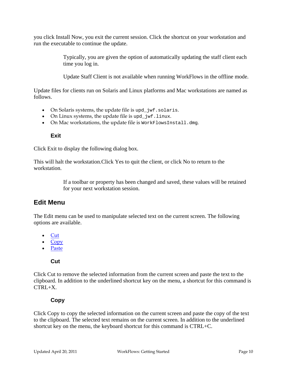<span id="page-9-0"></span>you click Install Now, you exit the current session. Click the shortcut on your workstation and run the executable to continue the update.

> Typically, you are given the option of automatically updating the staff client each time you log in.

> Update Staff Client is not available when running WorkFlows in the offline mode.

Update files for clients run on Solaris and Linux platforms and Mac workstations are named as follows.

- On Solaris systems, the update file is upd\_jwf.solaris.
- On Linux systems, the update file is upd\_jwf.linux.
- On Mac workstations, the update file is WorkFlowsInstall.dmg.

#### **Exit**

Click Exit to display the following dialog box.

This will halt the workstation.Click Yes to quit the client, or click No to return to the workstation.

> If a toolbar or property has been changed and saved, these values will be retained for your next workstation session.

# **Edit Menu**

The Edit menu can be used to manipulate selected text on the current screen. The following options are available.

- Cut
- Copy
- Paste

#### **Cut**

Click Cut to remove the selected information from the current screen and paste the text to the clipboard. In addition to the underlined shortcut key on the menu, a shortcut for this command is  $CTRI+X$ .

#### **Copy**

Click Copy to copy the selected information on the current screen and paste the copy of the text to the clipboard. The selected text remains on the current screen. In addition to the underlined shortcut key on the menu, the keyboard shortcut for this command is CTRL+C.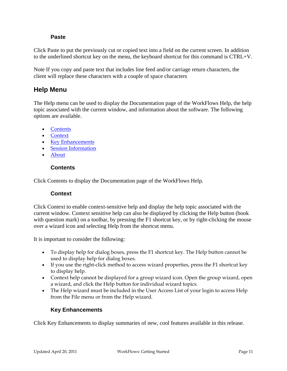#### **Paste**

<span id="page-10-0"></span>Click Paste to put the previously cut or copied text into a field on the current screen. In addition to the underlined shortcut key on the menu, the keyboard shortcut for this command is CTRL+V.

Note If you copy and paste text that includes line feed and/or carriage return characters, the client will replace these characters with a couple of space characters

# **Help Menu**

The Help menu can be used to display the Documentation page of the WorkFlows Help, the help topic associated with the current window, and information about the software. The following options are available.

- Contents
- Context
- Key Enhancements
- Session Information
- About

#### **Contents**

Click Contents to display the Documentation page of the WorkFlows Help.

#### **Context**

Click Context to enable context-sensitive help and display the help topic associated with the current window. Context sensitive help can also be displayed by clicking the Help button (book with question mark) on a toolbar, by pressing the F1 shortcut key, or by right-clicking the mouse over a wizard icon and selecting Help from the shortcut menu.

It is important to consider the following:

- To display help for dialog boxes, press the F1 shortcut key. The Help button cannot be used to display help for dialog boxes.
- If you use the right-click method to access wizard properties, press the F1 shortcut key to display help.
- Context help cannot be displayed for a group wizard icon. Open the group wizard, open a wizard, and click the Help button for individual wizard topics.
- The Help wizard must be included in the User Access List of your login to access Help from the File menu or from the Help wizard.

#### **Key Enhancements**

Click Key Enhancements to display summaries of new, cool features available in this release.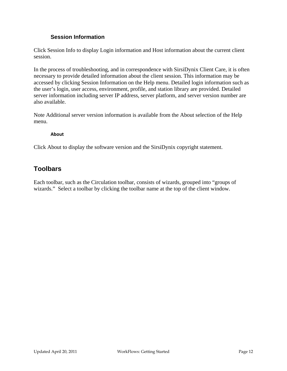#### **Session Information**

<span id="page-11-0"></span>Click Session Info to display Login information and Host information about the current client session.

In the process of troubleshooting, and in correspondence with SirsiDynix Client Care, it is often necessary to provide detailed information about the client session. This information may be accessed by clicking Session Information on the Help menu. Detailed login information such as the user's login, user access, environment, profile, and station library are provided. Detailed server information including server IP address, server platform, and server version number are also available.

Note Additional server version information is available from the About selection of the Help menu.

#### **About**

Click About to display the software version and the SirsiDynix copyright statement.

# **Toolbars**

Each toolbar, such as the Circulation toolbar, consists of wizards, grouped into "groups of wizards." Select a toolbar by clicking the toolbar name at the top of the client window.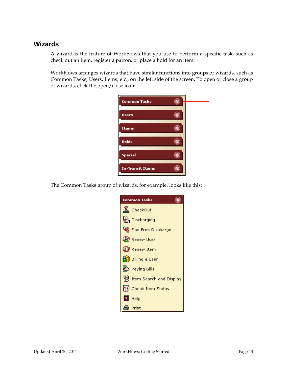## <span id="page-12-0"></span>**Wizards**

A wizard is the feature of WorkFlows that you use to perform a specific task, such as check out an item, register a patron, or place a hold for an item.

WorkFlows arranges wizards that have similar functions into groups of wizards, such as Common Tasks, Users, Items, etc., on the left side of the screen. To open or close a group of wizards, click the open/close icon:



The Common Tasks group of wizards, for example, looks like this:

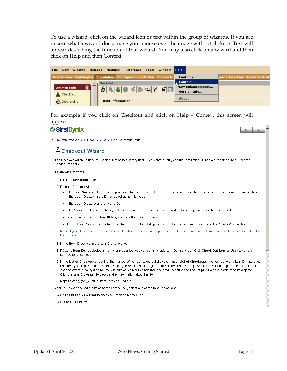To use a wizard, click on the wizard icon or text within the group of wizards. If you are unsure what a wizard does, move your mouse over the image without clicking. Text will appear describing the function of that wizard. You may also click on a wizard and then click on Help and then Context.

| File                              | Edit Wizards Helpers Modules Preference Tools Window Help                    |                                                     |                                  |
|-----------------------------------|------------------------------------------------------------------------------|-----------------------------------------------------|----------------------------------|
|                                   | Acquisitions   Cataloging   Circulation   Configuration   Offline   Outreach | Contents                                            | ves   Selection   Serial Control |
|                                   | <b>CheckOut</b>                                                              | Context                                             |                                  |
| <b>Common Tasks</b>               | I & F & K B & H H                                                            | $^\mathrm{\tiny{\textregistered}}$ Key Enhancements |                                  |
| $\underline{\mathbb{X}}$ CheckOut |                                                                              | <b>Session Info</b>                                 |                                  |
|                                   |                                                                              | About                                               |                                  |
| Discharging                       | <b>User information</b>                                                      |                                                     |                                  |

For example if you click on Checkout and click on Help – Context this screen will appear.

## *SSirsiDvnix*

SirsiDynix Symphony WorkFlows Help > Circulation > Checkout Wizard

#### <sup>즈</sup> Checkout Wizard

The Checkout wizard is used to check out items to a library user. This wizard displays on the Circulation, Academic Reserves, and Outreach Services footbars

#### To check out items

- 1. Click the Checkout wizard
- 2. Do one of the following.
	- . If the User Search helper is set in properties to display as the first step of the wizard, search for the user. The helper will automatically fill in the User ID box with the ID you select using this helper.
	- . In the User ID box, scan the user's ID.
	- . If the Current button is available, click the button to select the last user record that was displayed, modified, or added.
	- . Type the user ID in the User ID box, and click Get User Information.
	- . Use the User Search helper to search for the user. If a list displays, select the user you want, and then click Check Out to User.

Note: If your library uses the barcode validation feature, a message appears if you type or scan a user ID with an invalid barcode format in the User ID field.

- 3. In the Item ID box, scan the item ID or barcode.
- 4. If Cache Item IDs is selected in behavior properties, you can scan multiple item IDs in this box. Click Check Out Item to User to send all item IDs for check out.
- 5. In the List of Checkouts heading, the number of items checked out displays. Under List of Checkouts, the item's title and item ID, date due, and item type display. If the item that is charged results in a charge fee, the bill amount also displays. If the user has a patron credit account, and the wizard is configured to pay bills automatically with funds from the credit account, the amount paid from the credit account displays. Click the item ID glossary to view detailed information about the item.
- 6. Repeat step 3 (or 4) until all items are checked out.

After you have checked out items to the library user, select one of the following options:

- . Check Out to New User to check out items to a new user
- . Close to exit the wizard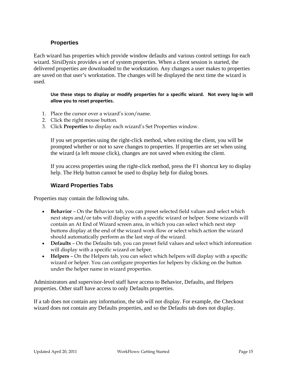#### **Properties**

<span id="page-14-0"></span>Each wizard has properties which provide window defaults and various control settings for each wizard. SirsiDynix provides a set of system properties. When a client session is started, the delivered properties are downloaded to the workstation. Any changes a user makes to properties are saved on that user's workstation. The changes will be displayed the next time the wizard is used.

Use these steps to display or modify properties for a specific wizard. Not every log-in will **allow you to reset properties.**

- 1. Place the cursor over a wizard's icon/name.
- 2. Click the right mouse button.
- 3. Click **Properties** to display each wizard's Set Properties window.

If you set properties using the right-click method, when exiting the client, you will be prompted whether or not to save changes to properties. If properties are set when using the wizard (a left mouse click), changes are not saved when exiting the client.

If you access properties using the right-click method, press the F1 shortcut key to display help. The Help button cannot be used to display help for dialog boxes.

#### **Wizard Properties Tabs**

Properties may contain the following tabs.

- **Behavior** On the Behavior tab, you can preset selected field values and select which next steps and/or tabs will display with a specific wizard or helper. Some wizards will contain an At End of Wizard screen area, in which you can select which next step buttons display at the end of the wizard work flow or select which action the wizard should automatically perform as the last step of the wizard.
- **Defaults** On the Defaults tab, you can preset field values and select which information will display with a specific wizard or helper.
- **Helpers** On the Helpers tab, you can select which helpers will display with a specific wizard or helper. You can configure properties for helpers by clicking on the button under the helper name in wizard properties.

Administrators and supervisor-level staff have access to Behavior, Defaults, and Helpers properties. Other staff have access to only Defaults properties.

If a tab does not contain any information, the tab will not display. For example, the Checkout wizard does not contain any Defaults properties, and so the Defaults tab does not display.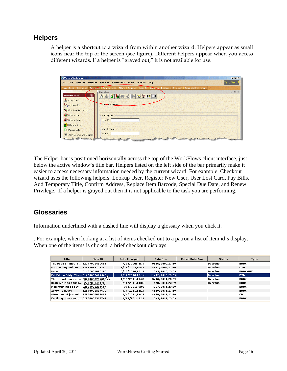## <span id="page-15-0"></span>**Helpers**

A helper is a shortcut to a wizard from within another wizard. Helpers appear as small icons near the top of the screen (see figure). Different helpers appear when you access different wizards. If a helper is "grayed out," it is not available for use.

| <b>Will Unicorn WorkFlows</b>                |                                                                                                                                                                                                                                                  | $\Box$ $\Box$ x                     |
|----------------------------------------------|--------------------------------------------------------------------------------------------------------------------------------------------------------------------------------------------------------------------------------------------------|-------------------------------------|
| File                                         | Edit Wizards Helpers Modules Preference Tools Window Help                                                                                                                                                                                        | <b>Test Test</b>                    |
|                                              | Acquisitions Cataloging Circulation Configuration Offline Outreach Reports Requests Reserves Selection Serial Control Utility                                                                                                                    |                                     |
| <b>Common Tasks</b><br>CheckOut              | <b>CheckOut</b><br>$\mathbb{E}[\mathbf{M} \mathbf{R} \mathbf{S} \mathbf{S} \mathbf{S} \mathbf{S} \mathbf{S} \mathbf{S} \mathbf{S} \mathbf{S}$                                                                                                    | $\qquad \qquad =\qquad \qquad \Box$ |
| Discharging<br><b>US</b> Fine Free Discharge | User-information                                                                                                                                                                                                                                 |                                     |
| Renew User<br>Renew Item                     | Identify user<br>User ID:                                                                                                                                                                                                                        |                                     |
| Billing a User<br>Paying Bills               | Identify item:                                                                                                                                                                                                                                   |                                     |
| H Item Search and Display<br>had and come    | Item ID:<br><b>Comment of the Comment of the Comment of the Comment of the Comment of the Comment of the Comment of the Comment of the Comment of the Comment of the Comment of the Comment of the Comment of The Comment of the Comment of </b> |                                     |

The Helper bar is positioned horizontally across the top of the WorkFlows client interface, just below the active window's title bar. Helpers listed on the left side of the bar primarily make it easier to access necessary information needed by the current wizard. For example, Checkout wizard uses the following helpers: Lookup User, Register New User, User Lost Card, Pay Bills, Add Temporary Title, Confirm Address, Replace Item Barcode, Special Due Date, and Renew Privilege. If a helper is grayed out then it is not applicable to the task you are performing.

# **Glossaries**

Information underlined with a dashed line will display a glossary when you click it.

. For example, when looking at a list of items checked out to a patron a list of item id's display. When one of the items is clicked, a brief checkout displays.

| Item ID                              | <b>Date Charged</b> | Date Due | <b>Recall Date Due</b>                                                                                                                                                               | <b>Status</b>                                                                                                                                                                             | Type            |
|--------------------------------------|---------------------|----------|--------------------------------------------------------------------------------------------------------------------------------------------------------------------------------------|-------------------------------------------------------------------------------------------------------------------------------------------------------------------------------------------|-----------------|
| The book of Thoth :  32777001410658  |                     |          |                                                                                                                                                                                      | Overdue                                                                                                                                                                                   | BOOK            |
| Batman beyond. Se 32035012121289     |                     |          |                                                                                                                                                                                      | <b>Overdue</b>                                                                                                                                                                            | <b>DVD</b>      |
| 31462001898100                       |                     |          |                                                                                                                                                                                      | Overdue                                                                                                                                                                                   | <b>BOOK-JUV</b> |
| Ed, Edd, n Eddy. The 31658002677563, |                     |          |                                                                                                                                                                                      | lOverdue:                                                                                                                                                                                 | <b>DVD</b>      |
| The secret diary of  33678000734032  |                     |          |                                                                                                                                                                                      | Overdue                                                                                                                                                                                   | BOOK            |
| Restructuring educa 32777001444756   |                     |          |                                                                                                                                                                                      | Overdue                                                                                                                                                                                   | BOOK            |
| Maximum Ride : sav 32034003264687    |                     |          |                                                                                                                                                                                      |                                                                                                                                                                                           | <b>BOOK</b>     |
| 32040001507639                       |                     |          |                                                                                                                                                                                      |                                                                                                                                                                                           | <b>BOOK</b>     |
| Stress relief [sound 35899000936652] |                     |          |                                                                                                                                                                                      |                                                                                                                                                                                           | CD.             |
| Earthing: the most i 32034003369767  |                     |          |                                                                                                                                                                                      |                                                                                                                                                                                           | <b>BOOK</b>     |
|                                      |                     |          | 7/22/2009.8:17<br>3/26/2007.10:41<br>8/10/2010.13:11<br>9/17/2010,15:14<br>1/13/2011.11:52<br>2/11/2011,14:03<br>3/2/2011.9:08<br>3/4/2011,14:27<br>3/4/2011,14:38<br>3/10/2011.9:21 | 9/16/2009.23:59<br>5/21/2007.23:59<br>10/5/2010.23:59<br>11/12/2010,23:59<br>3/10/2011.23:59<br>4/8/2011.23:59<br>4/27/2011,23:59<br>4/29/2011.23:59<br>4/29/2011,23:59<br>5/5/2011.23:59 |                 |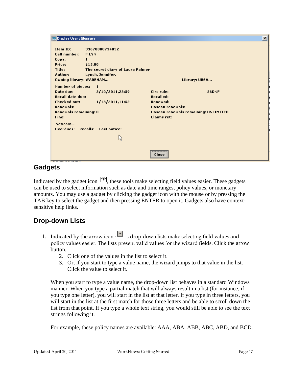```
Display User: Glossary
```

| Item ID:                     | 33678000734032                   |                                      |
|------------------------------|----------------------------------|--------------------------------------|
| <b>Call number:</b>          | <b>FLYN</b>                      |                                      |
| Copy:                        | 1                                |                                      |
| Price:                       | \$15.00                          |                                      |
| Title:                       | The secret diary of Laura Palmer |                                      |
| Author:                      | Lynch, Jennifer.                 |                                      |
| Owning library: WAREHAM      |                                  | Library: URSA                        |
| <b>Number of pieces:</b>     | 1                                |                                      |
| Date due:                    | 3/10/2011,23:59                  | Circ rule:<br><b>56DNF</b>           |
| <b>Recall date due:</b>      |                                  | <b>Recalled:</b>                     |
| <b>Checked out:</b>          | 1/13/2011,11:52                  | Renewed:                             |
| <b>Renewals:</b>             |                                  | <b>Unseen renewals:</b>              |
| <b>Renewals remaining: 0</b> |                                  | Unseen renewals remaining: UNLIMITED |
| Fine:                        |                                  | <b>Claims ret:</b>                   |
| Notices:--                   |                                  |                                      |
| Overdues:                    | <b>Recalls:</b> Last notice:     |                                      |
|                              | Ķ                                |                                      |
|                              |                                  | <br>Close<br>                        |

# **Gadgets**

Indicated by the gadget icon  $\mathcal{L}$ , these tools make selecting field values easier. These gadgets can be used to select information such as date and time ranges, policy values, or monetary amounts. You may use a gadget by clicking the gadget icon with the mouse or by pressing the TAB key to select the gadget and then pressing ENTER to open it. Gadgets also have contextsensitive help links.

# **Drop-down Lists**

- 1. Indicated by the arrow icon  $\overline{\phantom{a}}$ , drop-down lists make selecting field values and policy values easier. The lists present valid values for the wizard fields. Click the arrow button.
	- 2. Click one of the values in the list to select it.
	- 3. Or, if you start to type a value name, the wizard jumps to that value in the list. Click the value to select it.

When you start to type a value name, the drop-down list behaves in a standard Windows manner. When you type a partial match that will always result in a list (for instance, if you type one letter), you will start in the list at that letter. If you type in three letters, you will start in the list at the first match for those three letters and be able to scroll down the list from that point. If you type a whole text string, you would still be able to see the text strings following it.

For example, these policy names are available: AAA, ABA, ABB, ABC, ABD, and BCD.

 $\vert x \vert$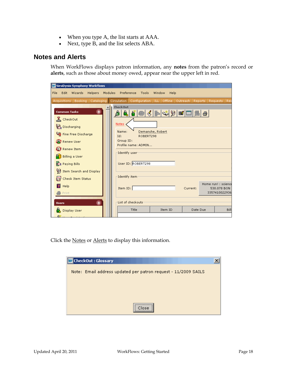- When you type A, the list starts at AAA.
- Next, type B, and the list selects ABA.

# <span id="page-17-0"></span>**Notes and Alerts**

When WorkFlows displays patron information, any **notes** from the patron's record or **alerts**, such as those about money owed, appear near the upper left in red.

| <b>WI SirsiDynix Symphony WorkFlows</b>                                                                                                                                                                                                         |                                                                                          |                                                        |                  |          |    |                                                     |
|-------------------------------------------------------------------------------------------------------------------------------------------------------------------------------------------------------------------------------------------------|------------------------------------------------------------------------------------------|--------------------------------------------------------|------------------|----------|----|-----------------------------------------------------|
| File<br>Edit.<br>Wizards<br>Helpers                                                                                                                                                                                                             | Modules Preference                                                                       | Tools                                                  | Window<br>Help   |          |    |                                                     |
| Acquisitions   Booking   Cataloging   Circulation   Configuration   ILL   Offline   Outreach   Reports                                                                                                                                          |                                                                                          |                                                        |                  |          |    | Requests   Res                                      |
| Q<br><b>Common Tasks</b><br>$\underline{\mathbf{X}}$ CheckOut<br>Discharging<br><b>Ug</b> Fine Free Discharge<br>(O) Renew User<br><b>B</b> Renew Item<br><b>Billing a User</b><br>Paying Bills<br>Item Search and Display<br>Check Item Status | <b>CheckOut</b><br>Notes<br>Name:<br>Id:<br>Group ID:<br>Identify user:<br>Identify item | ROBERT298<br>Profile name: ADMIN<br>User ID: ROBERT298 | Demanche, Robert | H        | ê. |                                                     |
| Help<br>Print<br>۵<br><b>Users</b>                                                                                                                                                                                                              | Item ID:                                                                                 | List of checkouts                                      |                  | Current: |    | Home run! : science<br>530.078 BON<br>3357410022936 |
| Display User                                                                                                                                                                                                                                    |                                                                                          | Title                                                  | Item ID          | Date Due |    | <b>Bill</b>                                         |

Click the Notes or Alerts to display this information.

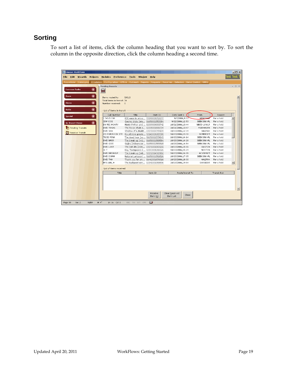# <span id="page-18-0"></span>**Sorting**

To sort a list of items, click the column heading that you want to sort by. To sort the column in the opposite direction, click the column heading a second time.

|                                   |                                                                                                                                                                 |                                      | Circulation   Configuration   Offline   Outreach   Reports                                            | Requests   Reserves   Selection   Serial Control   Utility                                                                                                                                                                                                                                                                                                                                                                                                                                                                                                |                 |             |                  |
|-----------------------------------|-----------------------------------------------------------------------------------------------------------------------------------------------------------------|--------------------------------------|-------------------------------------------------------------------------------------------------------|-----------------------------------------------------------------------------------------------------------------------------------------------------------------------------------------------------------------------------------------------------------------------------------------------------------------------------------------------------------------------------------------------------------------------------------------------------------------------------------------------------------------------------------------------------------|-----------------|-------------|------------------|
| $^{\circ}$<br><b>Common Tasks</b> | <b>Pending Transits</b>                                                                                                                                         |                                      |                                                                                                       |                                                                                                                                                                                                                                                                                                                                                                                                                                                                                                                                                           |                 |             | $ \Box$ $\times$ |
|                                   | 画                                                                                                                                                               |                                      |                                                                                                       |                                                                                                                                                                                                                                                                                                                                                                                                                                                                                                                                                           |                 |             |                  |
|                                   |                                                                                                                                                                 |                                      |                                                                                                       |                                                                                                                                                                                                                                                                                                                                                                                                                                                                                                                                                           |                 |             |                  |
|                                   |                                                                                                                                                                 |                                      |                                                                                                       |                                                                                                                                                                                                                                                                                                                                                                                                                                                                                                                                                           |                 |             |                  |
|                                   |                                                                                                                                                                 |                                      |                                                                                                       |                                                                                                                                                                                                                                                                                                                                                                                                                                                                                                                                                           |                 |             |                  |
|                                   |                                                                                                                                                                 |                                      |                                                                                                       |                                                                                                                                                                                                                                                                                                                                                                                                                                                                                                                                                           |                 |             |                  |
|                                   |                                                                                                                                                                 |                                      |                                                                                                       |                                                                                                                                                                                                                                                                                                                                                                                                                                                                                                                                                           |                 |             |                  |
|                                   |                                                                                                                                                                 |                                      |                                                                                                       |                                                                                                                                                                                                                                                                                                                                                                                                                                                                                                                                                           |                 |             |                  |
|                                   | Call Number                                                                                                                                                     | Title                                | Item ID                                                                                               | Date Sent »                                                                                                                                                                                                                                                                                                                                                                                                                                                                                                                                               | From            | Reason      |                  |
|                                   | J 745.5 JOH                                                                                                                                                     |                                      |                                                                                                       | 9/7/2006,9:53                                                                                                                                                                                                                                                                                                                                                                                                                                                                                                                                             | <b>WRNIHAM</b>  | For a hold  |                  |
|                                   | <b>JSW COS</b>                                                                                                                                                  |                                      |                                                                                                       | 9/22/2006,12:53                                                                                                                                                                                                                                                                                                                                                                                                                                                                                                                                           | SEEKONK-PL      | For a hold  |                  |
|                                   | DV FIC MONTY                                                                                                                                                    |                                      |                                                                                                       | 10/21/2006,13:44                                                                                                                                                                                                                                                                                                                                                                                                                                                                                                                                          | NBED-LAWLR      | For a hold  |                  |
|                                   | DVD TEXAS                                                                                                                                                       |                                      |                                                                                                       | 10/21/2006,13:47                                                                                                                                                                                                                                                                                                                                                                                                                                                                                                                                          | FAIRHAVEN       | For a hold  |                  |
|                                   | DVD SHA                                                                                                                                                         |                                      |                                                                                                       | 10/23/2006,12:39                                                                                                                                                                                                                                                                                                                                                                                                                                                                                                                                          | HALIFAX         | For a hold  |                  |
|                                   | CD POP/ROCK STE                                                                                                                                                 |                                      |                                                                                                       | 10/23/2006,13:30                                                                                                                                                                                                                                                                                                                                                                                                                                                                                                                                          | SOMERSET        | For a hold  |                  |
|                                   | <b>TBCD MINA</b>                                                                                                                                                |                                      |                                                                                                       | 10/23/2006.14:14                                                                                                                                                                                                                                                                                                                                                                                                                                                                                                                                          | SEEKONK-PL      | For a hold  |                  |
|                                   | DVD BREA                                                                                                                                                        |                                      |                                                                                                       | 10/23/2006,14:26                                                                                                                                                                                                                                                                                                                                                                                                                                                                                                                                          | SEEKONK-PL      | For a hold  |                  |
|                                   | DVD GOJI                                                                                                                                                        |                                      |                                                                                                       | 10/23/2006,14:54                                                                                                                                                                                                                                                                                                                                                                                                                                                                                                                                          | SEEKONK-PL      | For a hold  |                  |
|                                   | <b>DVD LOST</b>                                                                                                                                                 |                                      |                                                                                                       | 10/23/2006,15:01                                                                                                                                                                                                                                                                                                                                                                                                                                                                                                                                          | EASTON          | For a hold  |                  |
|                                   | JE T                                                                                                                                                            |                                      |                                                                                                       | 10/23/2006,15:29                                                                                                                                                                                                                                                                                                                                                                                                                                                                                                                                          | <b>NORTON</b>   | For a hold  |                  |
|                                   | DVD BREAKUP                                                                                                                                                     |                                      |                                                                                                       | 10/23/2006,16:01                                                                                                                                                                                                                                                                                                                                                                                                                                                                                                                                          | <b>ACUSHNET</b> | For a hold  |                  |
|                                   | DVD DORM                                                                                                                                                        |                                      |                                                                                                       | 10/23/2006,17:05                                                                                                                                                                                                                                                                                                                                                                                                                                                                                                                                          | SEEKONK-PL      | For a hold  |                  |
|                                   | DVD THA                                                                                                                                                         |                                      |                                                                                                       | 10/23/2006,18:30                                                                                                                                                                                                                                                                                                                                                                                                                                                                                                                                          | HALIFAX         | For a hold  |                  |
|                                   | MYS LEE, H                                                                                                                                                      |                                      |                                                                                                       | 10/23/2006,19:54                                                                                                                                                                                                                                                                                                                                                                                                                                                                                                                                          | SWANSEA         | For a hold  | ⊡                |
|                                   |                                                                                                                                                                 |                                      |                                                                                                       |                                                                                                                                                                                                                                                                                                                                                                                                                                                                                                                                                           |                 |             |                  |
|                                   |                                                                                                                                                                 |                                      |                                                                                                       |                                                                                                                                                                                                                                                                                                                                                                                                                                                                                                                                                           |                 |             |                  |
|                                   | Title                                                                                                                                                           |                                      | Item ID                                                                                               | Route/transit To                                                                                                                                                                                                                                                                                                                                                                                                                                                                                                                                          |                 | Transit Rsn |                  |
|                                   | $\circledcirc$<br>$\circledcirc$<br>$\circledcirc$<br>$\circledcirc$<br>$^{\circ}$<br><b>In-Transit Items</b><br>Pending Transits<br><b>ITI</b> Receive Transit | Items routed to:<br>Number received: | SAILS<br>Total items in transit: 34<br>$\theta$<br>List of items in transit<br>List of items received | 838 ways to amus 35899001052277<br>Cosmic blobs [ele 31658002553384<br>Monty Python and  32039008093742<br>The Texas chain s 32035001806734<br>Shadow of a doubt 33570000799109<br>His all-time greate 32040001615598<br>The dead hour [so 31658002579843<br>The break up [vid 31658002589594<br>Gojira [videorecor 31658002589818<br>The lost city [vide 33576001087261<br>Kay Thompson's E 32053001286526<br>The break-up [vid 32032004720962<br>National Lampoon' 31658002581526<br>Thank you for sm 31462001876916<br>The Budapest con 32041001058896 |                 |             |                  |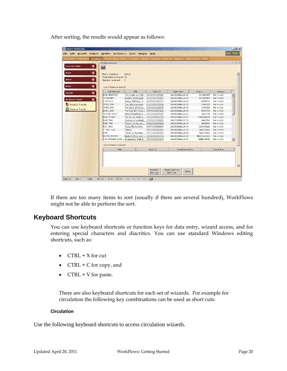<span id="page-19-0"></span>

| After sorting, the results would appear as follows: |  |  |
|-----------------------------------------------------|--|--|
|                                                     |  |  |

|         | <b>Unicorn WorkFlows</b>                                |                                                |                                  |                         |                          |                                 |  |                                                                                                                         |  |                             |                  |            |                 |             |           | $\Box$ D $\Box$                                                             |
|---------|---------------------------------------------------------|------------------------------------------------|----------------------------------|-------------------------|--------------------------|---------------------------------|--|-------------------------------------------------------------------------------------------------------------------------|--|-----------------------------|------------------|------------|-----------------|-------------|-----------|-----------------------------------------------------------------------------|
| File    |                                                         | Edit Wizards                                   | <b>Helpers</b>                   |                         |                          | Modules Preference Tools Window |  | Help                                                                                                                    |  |                             |                  |            |                 |             | Test Test |                                                                             |
|         |                                                         | Acquisitions   Cataloging                      |                                  |                         |                          |                                 |  | Circulation   Configuration   Offline   Outreach   Reports   Requests   Reserves   Selection   Serial Control   Utility |  |                             |                  |            |                 |             |           |                                                                             |
|         |                                                         |                                                |                                  | <b>Pending Transits</b> |                          |                                 |  |                                                                                                                         |  |                             |                  |            |                 |             |           | $\hspace{1.5cm} = \hspace{1.5cm} \Box \hspace{1.5cm} \times \hspace{1.5cm}$ |
|         | <b>Common Tasks</b>                                     |                                                | ۱                                |                         |                          |                                 |  |                                                                                                                         |  |                             |                  |            |                 |             |           |                                                                             |
|         |                                                         |                                                |                                  | E                       |                          |                                 |  |                                                                                                                         |  |                             |                  |            |                 |             |           |                                                                             |
|         | $^{\circ}$<br><b>Users</b><br>Items routed to:<br>SAILS |                                                |                                  |                         |                          |                                 |  |                                                                                                                         |  |                             |                  |            |                 |             |           |                                                                             |
|         | Total items in transit: 33                              |                                                |                                  |                         |                          |                                 |  |                                                                                                                         |  |                             |                  |            |                 |             |           |                                                                             |
|         | Items                                                   | $^{\circ}$<br>Number received:<br>$\mathbf{0}$ |                                  |                         |                          |                                 |  |                                                                                                                         |  |                             |                  |            |                 |             |           |                                                                             |
|         | Holds                                                   | $^{\circ}$                                     |                                  |                         |                          |                                 |  |                                                                                                                         |  |                             |                  |            |                 |             |           |                                                                             |
|         |                                                         |                                                |                                  |                         | List of items in transit |                                 |  |                                                                                                                         |  |                             |                  |            |                 |             |           |                                                                             |
|         | Special                                                 |                                                | $\textcircled{\footnotesize{2}}$ |                         | Call Number              | Title                           |  | Item ID                                                                                                                 |  | Date Sent                   |                  | From »     |                 | Reason      |           |                                                                             |
|         |                                                         |                                                |                                  | DVD BREAKUP             |                          |                                 |  | The break-up [vid 32032004720962                                                                                        |  | 10/23/2006,16:01            |                  |            | <b>ACUSHNET</b> | For a hold  |           |                                                                             |
|         | <b>In-Transit Items</b>                                 |                                                | $^{\circ}$                       | <b>JT BARNEY</b>        |                          | Barney at the park              |  | 32032004719857                                                                                                          |  | 10/24/2006,14:09            |                  |            | <b>ACUSHNET</b> | For a hold  |           |                                                                             |
|         |                                                         |                                                |                                  | J TRIPP.V.              |                          |                                 |  | Happy Birthday, S 31609002342575                                                                                        |  | 10/24/2006.16:49            |                  |            | <b>BWATER</b>   | For a hold  |           |                                                                             |
|         |                                                         | Pending Transits                               |                                  | JJ FIC DAY              |                          | The little mermaid              |  | 32033001032294                                                                                                          |  | 10/24/2006,10:58            |                  |            | CARVER          | For a hold  |           |                                                                             |
|         |                                                         | Receive Transit                                |                                  |                         | JJ FIC DAY               |                                 |  | The story of Pinoc 32033001032278                                                                                       |  | 10/24/2006.15:52            |                  |            | CARVER          | For a hold  |           |                                                                             |
|         |                                                         |                                                |                                  | DVD LOST                |                          |                                 |  | The lost city [vide 33576001087261                                                                                      |  | 10/23/2006,15:01            |                  |            | EASTON          | For a hold  |           |                                                                             |
|         |                                                         |                                                |                                  | YA PBK CHOY             |                          |                                 |  | Deconstructing Dy 33576001087089                                                                                        |  | 10/24/2006,16:28            |                  |            | EASTON          | For a hold  |           |                                                                             |
|         |                                                         |                                                |                                  | <b>DVD TEXAS</b>        |                          |                                 |  | The Texas chain s 32035001806734                                                                                        |  | 10/21/2006,13:47            |                  |            | FAIRHAVEN       | For a hold  |           |                                                                             |
|         |                                                         |                                                |                                  | DVD SHA                 |                          |                                 |  | Shadow of a doubt 33570000799109                                                                                        |  | 10/23/2006,12:39            |                  |            | <b>HALIFAX</b>  | For a hold  |           |                                                                             |
|         |                                                         |                                                |                                  | <b>DVD THA</b>          |                          |                                 |  | Thank you for sm 31462001876916                                                                                         |  | 10/23/2006,18:30            |                  |            | <b>HALIFAX</b>  | For a hold  |           |                                                                             |
|         |                                                         |                                                |                                  | PIC BRO                 |                          | Tessa the teacher               |  | 33577000585867                                                                                                          |  | 10/24/2006,15:43            |                  |            | LAKEVILLE       | For a hold  |           |                                                                             |
|         |                                                         |                                                |                                  | Y 910 CLA               |                          | Titanic                         |  | 33577000586147                                                                                                          |  | 10/24/2006,13:55            |                  |            | LAKEVILLE       | For a hold  |           |                                                                             |
|         |                                                         |                                                |                                  | HEN                     |                          |                                 |  | Traitor to the bloo 33577000540821                                                                                      |  | 10/24/2006.10:44            |                  |            | LAKEVILLE       | For a hold  |           |                                                                             |
|         |                                                         |                                                |                                  | DV FIC MONTY            |                          |                                 |  | Monty Python and  32039008093742                                                                                        |  | 10/21/2006,13:44            |                  | NBED-LAWLR |                 | For a hold  |           |                                                                             |
|         |                                                         |                                                |                                  |                         |                          |                                 |  | J 917.59 BIR 2005 Birnbaum's Walt D 33678001607849                                                                      |  | 10/24/2006,13:34            |                  |            | NBED-MAIN       | For a hold  |           | ⊡                                                                           |
|         |                                                         | List of items received                         |                                  |                         |                          |                                 |  |                                                                                                                         |  |                             |                  |            |                 |             |           |                                                                             |
|         |                                                         |                                                |                                  |                         | Title                    |                                 |  | Item ID                                                                                                                 |  |                             | Route/transit To |            |                 | Transit Rsn |           |                                                                             |
|         |                                                         |                                                |                                  |                         |                          |                                 |  |                                                                                                                         |  |                             |                  |            |                 |             |           |                                                                             |
|         |                                                         |                                                |                                  |                         |                          |                                 |  |                                                                                                                         |  |                             |                  |            |                 |             |           |                                                                             |
|         |                                                         |                                                |                                  |                         |                          |                                 |  |                                                                                                                         |  |                             |                  |            |                 |             |           |                                                                             |
|         |                                                         |                                                |                                  |                         |                          |                                 |  |                                                                                                                         |  |                             |                  |            |                 |             |           |                                                                             |
|         |                                                         |                                                |                                  |                         |                          |                                 |  |                                                                                                                         |  |                             |                  |            |                 |             |           | $\vert$ $\vert$                                                             |
|         |                                                         |                                                |                                  |                         |                          |                                 |  | Receive<br>Item $(o)$                                                                                                   |  | Clear Received<br>Item List | Close            |            |                 |             |           |                                                                             |
| Page 13 |                                                         | Sec 2                                          | 13/61                            | At 2.3"<br>Ln 8         | Col 17                   | REC TRK EXT OVR                 |  | ШX                                                                                                                      |  |                             |                  |            |                 |             |           |                                                                             |

If there are too many items to sort (usually if there are several hundred), WorkFlows might not be able to perform the sort.

#### **Keyboard Shortcuts**

You can use keyboard shortcuts or function keys for data entry, wizard access, and for entering special characters and diacritics. You can use standard Windows editing shortcuts, such as:

- $CTRL + X$  for cut
- $\mathsf{CTRL} + \mathsf{C}$  for copy, and
- CTRL + V for paste.

There are also keyboard shortcuts for each set of wizards. For example for circulation the following key combinations can be used as short cuts:

#### **Circulation**

Use the following keyboard shortcuts to access circulation wizards.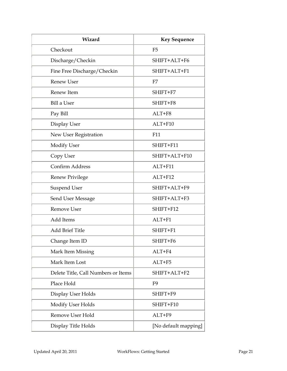| Wizard                              | <b>Key Sequence</b>  |
|-------------------------------------|----------------------|
| Checkout                            | F <sub>5</sub>       |
| Discharge/Checkin                   | SHIFT+ALT+F6         |
| Fine Free Discharge/Checkin         | SHIFT+ALT+F1         |
| <b>Renew User</b>                   | F7                   |
| Renew Item                          | SHIFT+F7             |
| Bill a User                         | SHIFT+F8             |
| Pay Bill                            | ALT+F8               |
| Display User                        | ALT+F10              |
| New User Registration               | F11                  |
| <b>Modify User</b>                  | SHIFT+F11            |
| Copy User                           | SHIFT+ALT+F10        |
| Confirm Address                     | ALT+F11              |
| <b>Renew Privilege</b>              | ALT+F12              |
| <b>Suspend User</b>                 | SHIFT+ALT+F9         |
| Send User Message                   | SHIFT+ALT+F3         |
| Remove User                         | SHIFT+F12            |
| <b>Add Items</b>                    | $ALT + F1$           |
| <b>Add Brief Title</b>              | SHIFT+F1             |
| Change Item ID                      | SHIFT+F6             |
| Mark Item Missing                   | ALT+F4               |
| Mark Item Lost                      | ALT+F5               |
| Delete Title, Call Numbers or Items | SHIFT+ALT+F2         |
| Place Hold                          | F <sub>9</sub>       |
| Display User Holds                  | SHIFT+F9             |
| Modify User Holds                   | SHIFT+F10            |
| Remove User Hold                    | ALT+F9               |
| Display Title Holds                 | [No default mapping] |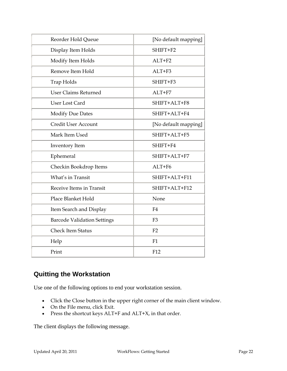<span id="page-21-0"></span>

| Reorder Hold Queue                 | [No default mapping] |
|------------------------------------|----------------------|
| Display Item Holds                 | SHIFT+F2             |
| Modify Item Holds                  | $ALT + F2$           |
| Remove Item Hold                   | $ALT + F3$           |
| Trap Holds                         | SHIFT+F3             |
| <b>User Claims Returned</b>        | ALT+F7               |
| User Lost Card                     | SHIFT+ALT+F8         |
| <b>Modify Due Dates</b>            | SHIFT+ALT+F4         |
| Credit User Account                | [No default mapping] |
| Mark Item Used                     | SHIFT+ALT+F5         |
| Inventory Item                     | SHIFT+F4             |
| Ephemeral                          | SHIFT+ALT+F7         |
| Checkin Bookdrop Items             | $ALT + F6$           |
| What's in Transit                  | SHIFT+ALT+F11        |
| Receive Items in Transit           | SHIFT+ALT+F12        |
| Place Blanket Hold                 | None                 |
| Item Search and Display            | F4                   |
| <b>Barcode Validation Settings</b> | F <sub>3</sub>       |
| <b>Check Item Status</b>           | F <sub>2</sub>       |
| Help                               | F1                   |
| Print                              | F12                  |

# **Quitting the Workstation**

Use one of the following options to end your workstation session.

- Click the Close button in the upper right corner of the main client window.
- On the File menu, click Exit.
- Press the shortcut keys ALT+F and ALT+X, in that order.

The client displays the following message.